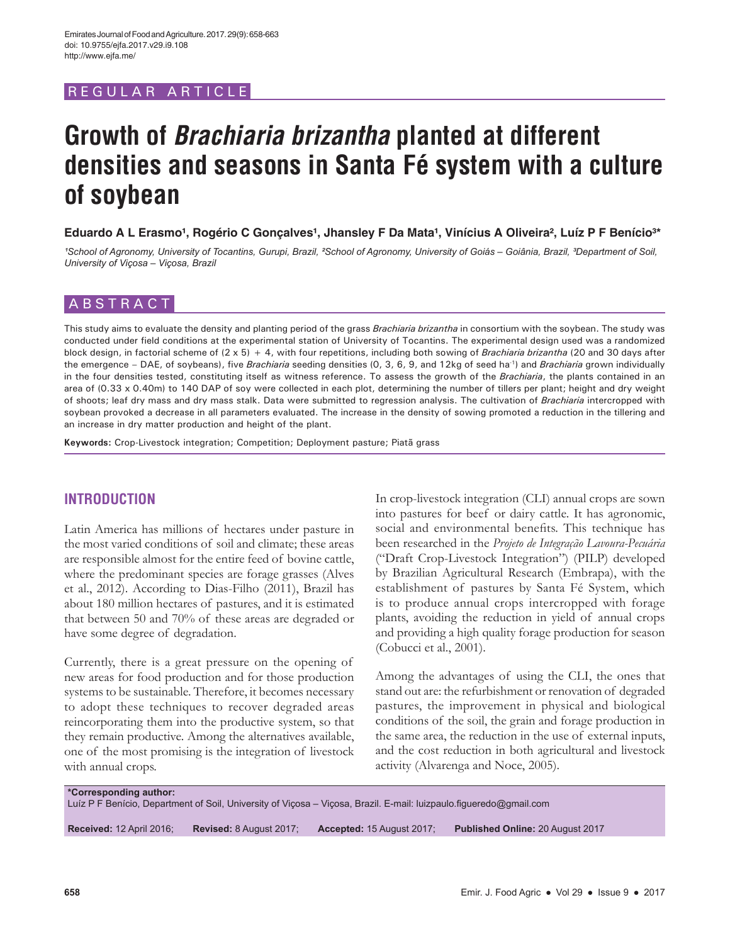REGULAR ARTICLE

# **Growth of** *Brachiaria brizantha* **planted at different densities and seasons in Santa Fé system with a culture of soybean**

Eduardo A L Erasmo<sup>1</sup>, Rogério C Gonçalves<sup>1</sup>, Jhansley F Da Mata<sup>1</sup>, Vinícius A Oliveira<sup>2</sup>, Luíz P F Benício<sup>3\*</sup>

*¹School of Agronomy, University of Tocantins, Gurupi, Brazil, ²School of Agronomy, University of Goiás – Goiânia, Brazil, ³Department of Soil, University of Viçosa – Viçosa, Brazil*

## ABSTRACT

This study aims to evaluate the density and planting period of the grass *Brachiaria brizantha* in consortium with the soybean. The study was conducted under field conditions at the experimental station of University of Tocantins. The experimental design used was a randomized block design, in factorial scheme of (2 x 5) + 4, with four repetitions, including both sowing of *Brachiaria brizantha* (20 and 30 days after the emergence – DAE, of soybeans), five *Brachiaria* seeding densities (0, 3, 6, 9, and 12kg of seed ha-1) and *Brachiaria* grown individually in the four densities tested, constituting itself as witness reference. To assess the growth of the *Brachiaria*, the plants contained in an area of (0.33 x 0.40m) to 140 DAP of soy were collected in each plot, determining the number of tillers per plant; height and dry weight of shoots; leaf dry mass and dry mass stalk. Data were submitted to regression analysis. The cultivation of *Brachiaria* intercropped with soybean provoked a decrease in all parameters evaluated. The increase in the density of sowing promoted a reduction in the tillering and an increase in dry matter production and height of the plant.

**Keywords:** Crop-Livestock integration; Competition; Deployment pasture; Piatã grass

## **INTRODUCTION**

Latin America has millions of hectares under pasture in the most varied conditions of soil and climate; these areas are responsible almost for the entire feed of bovine cattle, where the predominant species are forage grasses (Alves et al., 2012). According to Dias-Filho (2011), Brazil has about 180 million hectares of pastures, and it is estimated that between 50 and 70% of these areas are degraded or have some degree of degradation.

Currently, there is a great pressure on the opening of new areas for food production and for those production systems to be sustainable. Therefore, it becomes necessary to adopt these techniques to recover degraded areas reincorporating them into the productive system, so that they remain productive. Among the alternatives available, one of the most promising is the integration of livestock with annual crops.

In crop-livestock integration (CLI) annual crops are sown into pastures for beef or dairy cattle. It has agronomic, social and environmental benefits. This technique has been researched in the *Projeto de Integração Lavoura-Pecuária*  ("Draft Crop-Livestock Integration") (PILP) developed by Brazilian Agricultural Research (Embrapa), with the establishment of pastures by Santa Fé System, which is to produce annual crops intercropped with forage plants, avoiding the reduction in yield of annual crops and providing a high quality forage production for season (Cobucci et al., 2001).

Among the advantages of using the CLI, the ones that stand out are: the refurbishment or renovation of degraded pastures, the improvement in physical and biological conditions of the soil, the grain and forage production in the same area, the reduction in the use of external inputs, and the cost reduction in both agricultural and livestock activity (Alvarenga and Noce, 2005).

#### **\*Corresponding author:**

Luíz P F Benício, Department of Soil, University of Viçosa – Viçosa, Brazil. E-mail: luizpaulo.figueredo@gmail.com

**Received:** 12 April 2016; **Revised:** 8 August 2017; **Accepted:** 15 August 2017; **Published Online:** 20 August 2017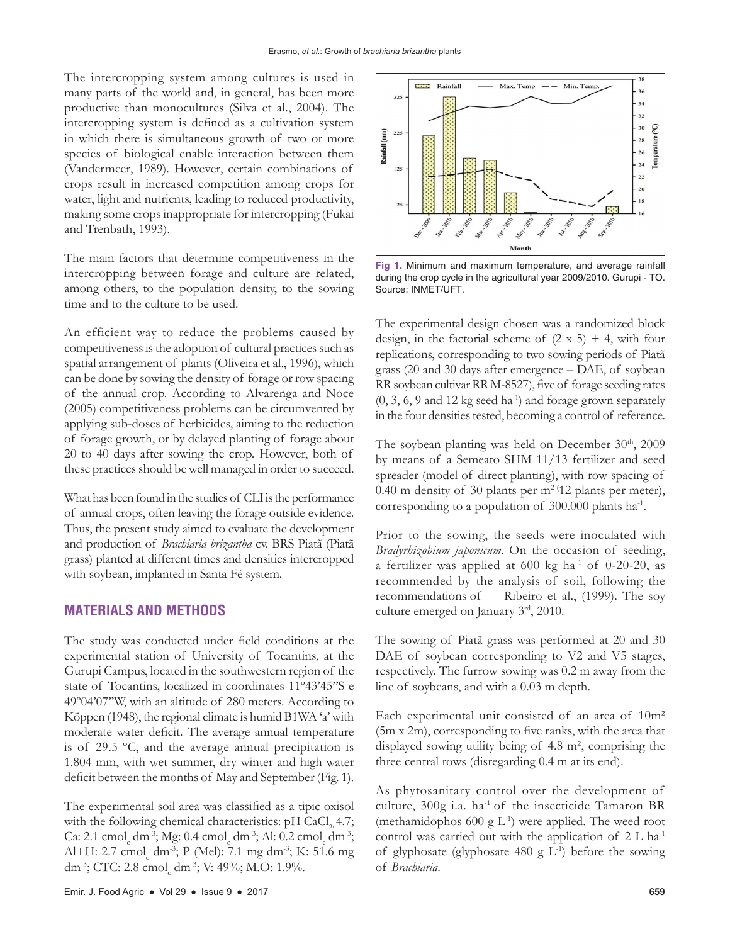The intercropping system among cultures is used in many parts of the world and, in general, has been more productive than monocultures (Silva et al., 2004). The intercropping system is defined as a cultivation system in which there is simultaneous growth of two or more species of biological enable interaction between them (Vandermeer, 1989). However, certain combinations of crops result in increased competition among crops for water, light and nutrients, leading to reduced productivity, making some crops inappropriate for intercropping (Fukai and Trenbath, 1993).

The main factors that determine competitiveness in the intercropping between forage and culture are related, among others, to the population density, to the sowing time and to the culture to be used.

An efficient way to reduce the problems caused by competitiveness is the adoption of cultural practices such as spatial arrangement of plants (Oliveira et al., 1996), which can be done by sowing the density of forage or row spacing of the annual crop. According to Alvarenga and Noce (2005) competitiveness problems can be circumvented by applying sub-doses of herbicides, aiming to the reduction of forage growth, or by delayed planting of forage about 20 to 40 days after sowing the crop. However, both of these practices should be well managed in order to succeed.

What has been found in the studies of CLI is the performance of annual crops, often leaving the forage outside evidence. Thus, the present study aimed to evaluate the development and production of *Brachiaria brizantha* cv. BRS Piatã (Piatã grass) planted at different times and densities intercropped with soybean, implanted in Santa Fé system.

#### **MATERIALS AND METHODS**

The study was conducted under field conditions at the experimental station of University of Tocantins, at the Gurupi Campus, located in the southwestern region of the state of Tocantins, localized in coordinates 11º43'45''S e 49º04'07''W, with an altitude of 280 meters. According to Köppen (1948), the regional climate is humid B1WA 'a' with moderate water deficit. The average annual temperature is of 29.5 ºC, and the average annual precipitation is 1.804 mm, with wet summer, dry winter and high water deficit between the months of May and September (Fig. 1).

The experimental soil area was classified as a tipic oxisol with the following chemical characteristics:  $pH$  CaCl<sub>2</sub> 4.7; Ca: 2.1 cmol<sub>c</sub> dm<sup>-3</sup>; Mg: 0.4 cmol<sub>c</sub> dm<sup>-3</sup>; Al: 0.2 cmol<sub>c</sub> dm<sup>-3</sup>; Al+H: 2.7 cmol<sub>c</sub> dm<sup>-3</sup>; P (Mel): 7.1 mg dm<sup>-3</sup>; K: 51.6 mg dm<sup>-3</sup>; CTC: 2.8 cmol<sub>c</sub> dm<sup>-3</sup>; V: 49%; M.O: 1.9%.



**Fig 1.** Minimum and maximum temperature, and average rainfall during the crop cycle in the agricultural year 2009/2010. Gurupi - TO. Source: INMET/UFT.

The experimental design chosen was a randomized block design, in the factorial scheme of  $(2 \times 5) + 4$ , with four replications, corresponding to two sowing periods of Piatã grass (20 and 30 days after emergence – DAE, of soybean RR soybean cultivar RR M-8527), five of forage seeding rates  $(0, 3, 6, 9 \text{ and } 12 \text{ kg seed ha}^{-1})$  and forage grown separately in the four densities tested, becoming a control of reference.

The soybean planting was held on December 30th, 2009 by means of a Semeato SHM 11/13 fertilizer and seed spreader (model of direct planting), with row spacing of 0.40 m density of 30 plants per  $m^2$ <sup>(12</sup> plants per meter), corresponding to a population of 300.000 plants ha-1.

Prior to the sowing, the seeds were inoculated with *Bradyrhizobium japonicum*. On the occasion of seeding, a fertilizer was applied at  $600 \text{ kg}$  ha<sup>-1</sup> of 0-20-20, as recommended by the analysis of soil, following the recommendations of Ribeiro et al., (1999). The soy culture emerged on January 3rd, 2010.

The sowing of Piatã grass was performed at 20 and 30 DAE of soybean corresponding to V2 and V5 stages, respectively. The furrow sowing was 0.2 m away from the line of soybeans, and with a 0.03 m depth.

Each experimental unit consisted of an area of 10m² (5m x 2m), corresponding to five ranks, with the area that displayed sowing utility being of 4.8 m², comprising the three central rows (disregarding 0.4 m at its end).

As phytosanitary control over the development of culture, 300g i.a. ha<sup>-1</sup> of the insecticide Tamaron BR (methamidophos 600 g  $L^{-1}$ ) were applied. The weed root control was carried out with the application of  $2 L ha^{-1}$ of glyphosate (glyphosate  $480 \text{ g L}^{-1}$ ) before the sowing of *Brachiaria*.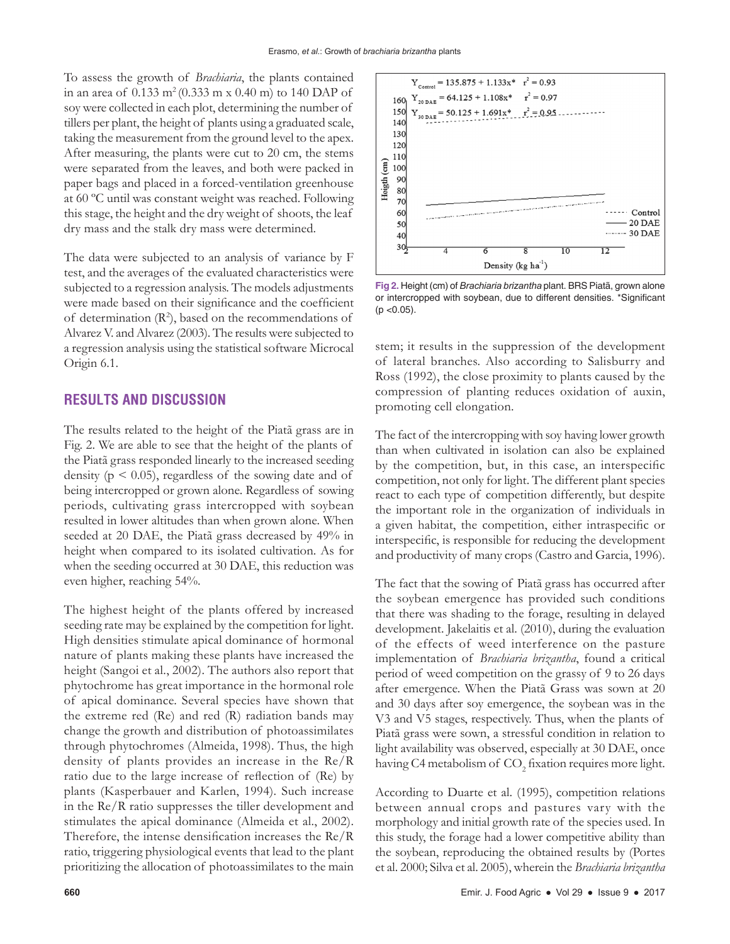To assess the growth of *Brachiaria*, the plants contained in an area of  $0.133 \text{ m}^2 (0.333 \text{ m} \times 0.40 \text{ m})$  to 140 DAP of soy were collected in each plot, determining the number of tillers per plant, the height of plants using a graduated scale, taking the measurement from the ground level to the apex. After measuring, the plants were cut to 20 cm, the stems were separated from the leaves, and both were packed in paper bags and placed in a forced-ventilation greenhouse at 60 ºC until was constant weight was reached. Following this stage, the height and the dry weight of shoots, the leaf dry mass and the stalk dry mass were determined.

The data were subjected to an analysis of variance by F test, and the averages of the evaluated characteristics were subjected to a regression analysis. The models adjustments were made based on their significance and the coefficient of determination  $(R^2)$ , based on the recommendations of Alvarez V. and Alvarez (2003). The results were subjected to a regression analysis using the statistical software Microcal Origin 6.1.

#### **RESULTS AND DISCUSSION**

The results related to the height of the Piatã grass are in Fig. 2. We are able to see that the height of the plants of the Piatã grass responded linearly to the increased seeding density ( $p \leq 0.05$ ), regardless of the sowing date and of being intercropped or grown alone. Regardless of sowing periods, cultivating grass intercropped with soybean resulted in lower altitudes than when grown alone. When seeded at 20 DAE, the Piatã grass decreased by 49% in height when compared to its isolated cultivation. As for when the seeding occurred at 30 DAE, this reduction was even higher, reaching 54%.

The highest height of the plants offered by increased seeding rate may be explained by the competition for light. High densities stimulate apical dominance of hormonal nature of plants making these plants have increased the height (Sangoi et al., 2002). The authors also report that phytochrome has great importance in the hormonal role of apical dominance. Several species have shown that the extreme red (Re) and red (R) radiation bands may change the growth and distribution of photoassimilates through phytochromes (Almeida, 1998). Thus, the high density of plants provides an increase in the Re/R ratio due to the large increase of reflection of (Re) by plants (Kasperbauer and Karlen, 1994). Such increase in the Re/R ratio suppresses the tiller development and stimulates the apical dominance (Almeida et al., 2002). Therefore, the intense densification increases the Re/R ratio, triggering physiological events that lead to the plant prioritizing the allocation of photoassimilates to the main



**Fig 2.** Height (cm) of *Brachiaria brizantha* plant. BRS Piatã, grown alone or intercropped with soybean, due to different densities. \*Significant  $(p < 0.05)$ .

stem; it results in the suppression of the development of lateral branches. Also according to Salisburry and Ross (1992), the close proximity to plants caused by the compression of planting reduces oxidation of auxin, promoting cell elongation.

The fact of the intercropping with soy having lower growth than when cultivated in isolation can also be explained by the competition, but, in this case, an interspecific competition, not only for light. The different plant species react to each type of competition differently, but despite the important role in the organization of individuals in a given habitat, the competition, either intraspecific or interspecific, is responsible for reducing the development and productivity of many crops (Castro and Garcia, 1996).

The fact that the sowing of Piatã grass has occurred after the soybean emergence has provided such conditions that there was shading to the forage, resulting in delayed development. Jakelaitis et al. (2010), during the evaluation of the effects of weed interference on the pasture implementation of *Brachiaria brizantha*, found a critical period of weed competition on the grassy of 9 to 26 days after emergence. When the Piatã Grass was sown at 20 and 30 days after soy emergence, the soybean was in the V3 and V5 stages, respectively. Thus, when the plants of Piatã grass were sown, a stressful condition in relation to light availability was observed, especially at 30 DAE, once having C4 metabolism of  $\mathrm{CO}_2$  fixation requires more light.

According to Duarte et al. (1995), competition relations between annual crops and pastures vary with the morphology and initial growth rate of the species used. In this study, the forage had a lower competitive ability than the soybean, reproducing the obtained results by (Portes et al. 2000; Silva et al. 2005), wherein the *Brachiaria brizantha*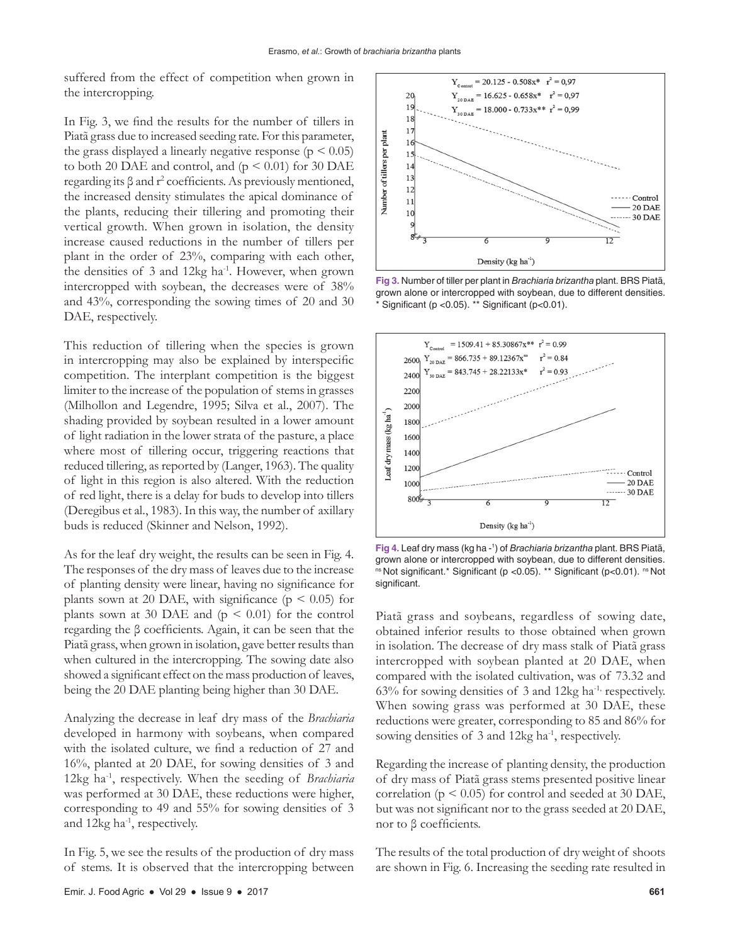suffered from the effect of competition when grown in the intercropping.

In Fig. 3, we find the results for the number of tillers in Piatã grass due to increased seeding rate. For this parameter, the grass displayed a linearly negative response ( $p \leq 0.05$ ) to both 20 DAE and control, and  $(p \le 0.01)$  for 30 DAE regarding its  $β$  and  $r^2$  coefficients. As previously mentioned, the increased density stimulates the apical dominance of the plants, reducing their tillering and promoting their vertical growth. When grown in isolation, the density increase caused reductions in the number of tillers per plant in the order of 23%, comparing with each other, the densities of 3 and 12kg ha<sup>-1</sup>. However, when grown intercropped with soybean, the decreases were of 38% and 43%, corresponding the sowing times of 20 and 30 DAE, respectively.

This reduction of tillering when the species is grown in intercropping may also be explained by interspecific competition. The interplant competition is the biggest limiter to the increase of the population of stems in grasses (Milhollon and Legendre, 1995; Silva et al., 2007). The shading provided by soybean resulted in a lower amount of light radiation in the lower strata of the pasture, a place where most of tillering occur, triggering reactions that reduced tillering, as reported by (Langer, 1963). The quality of light in this region is also altered. With the reduction of red light, there is a delay for buds to develop into tillers (Deregibus et al., 1983). In this way, the number of axillary buds is reduced (Skinner and Nelson, 1992).

As for the leaf dry weight, the results can be seen in Fig. 4. The responses of the dry mass of leaves due to the increase of planting density were linear, having no significance for plants sown at 20 DAE, with significance ( $p \le 0.05$ ) for plants sown at 30 DAE and  $(p \le 0.01)$  for the control regarding the β coefficients. Again, it can be seen that the Piatã grass, when grown in isolation, gave better results than when cultured in the intercropping. The sowing date also showed a significant effect on the mass production of leaves, being the 20 DAE planting being higher than 30 DAE.

Analyzing the decrease in leaf dry mass of the *Brachiaria* developed in harmony with soybeans, when compared with the isolated culture, we find a reduction of 27 and 16%, planted at 20 DAE, for sowing densities of 3 and 12kg ha-1, respectively. When the seeding of *Brachiaria* was performed at 30 DAE, these reductions were higher, corresponding to 49 and 55% for sowing densities of 3 and 12kg ha<sup>-1</sup>, respectively.

In Fig. 5, we see the results of the production of dry mass of stems. It is observed that the intercropping between



**Fig 3.** Number of tiller per plant in *Brachiaria brizantha* plant. BRS Piatã, grown alone or intercropped with soybean, due to different densities.  $*$  Significant (p < 0.05).  $*$  Significant (p < 0.01).



**Fig 4.** Leaf dry mass (kg ha - 1 ) of *Brachiaria brizantha* plant. BRS Piatã, grown alone or intercropped with soybean, due to different densities. ns Not significant.\* Significant (p <0.05). \*\* Significant (p<0.01). ns Not significant.

Piatã grass and soybeans, regardless of sowing date, obtained inferior results to those obtained when grown in isolation. The decrease of dry mass stalk of Piatã grass intercropped with soybean planted at 20 DAE, when compared with the isolated cultivation, was of 73.32 and 63% for sowing densities of 3 and 12kg ha<sup>-1,</sup> respectively. When sowing grass was performed at 30 DAE, these reductions were greater, corresponding to 85 and 86% for sowing densities of  $3$  and  $12kg$  ha<sup>-1</sup>, respectively.

Regarding the increase of planting density, the production of dry mass of Piatã grass stems presented positive linear correlation ( $p \le 0.05$ ) for control and seeded at 30 DAE, but was not significant nor to the grass seeded at 20 DAE, nor to β coefficients.

The results of the total production of dry weight of shoots are shown in Fig. 6. Increasing the seeding rate resulted in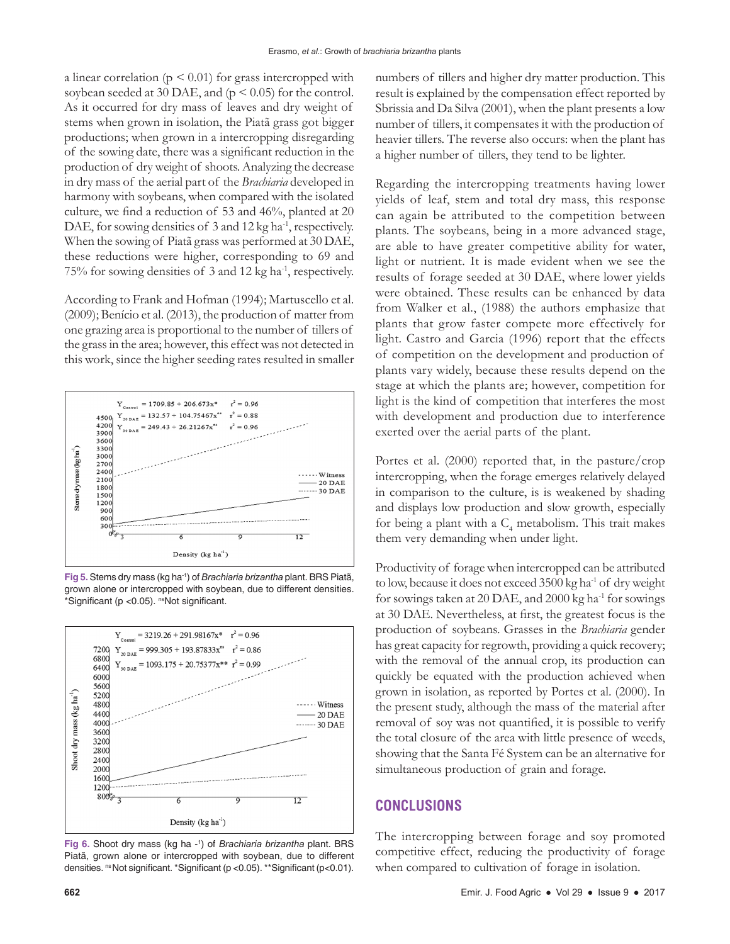a linear correlation ( $p \leq 0.01$ ) for grass intercropped with soybean seeded at 30 DAE, and ( $p < 0.05$ ) for the control. As it occurred for dry mass of leaves and dry weight of stems when grown in isolation, the Piatã grass got bigger productions; when grown in a intercropping disregarding of the sowing date, there was a significant reduction in the production of dry weight of shoots. Analyzing the decrease in dry mass of the aerial part of the *Brachiaria* developed in harmony with soybeans, when compared with the isolated culture, we find a reduction of 53 and 46%, planted at 20 DAE, for sowing densities of 3 and 12 kg ha<sup>-1</sup>, respectively. When the sowing of Piatã grass was performed at 30 DAE, these reductions were higher, corresponding to 69 and 75% for sowing densities of 3 and 12 kg ha-1, respectively.

According to Frank and Hofman (1994); Martuscello et al. (2009); Benício et al. (2013), the production of matter from one grazing area is proportional to the number of tillers of the grass in the area; however, this effect was not detected in this work, since the higher seeding rates resulted in smaller







**Fig 6.** Shoot dry mass (kg ha - 1 ) of *Brachiaria brizantha* plant. BRS Piatã, grown alone or intercropped with soybean, due to different densities. <sup>ns</sup> Not significant. \*Significant (p < 0.05). \*\*Significant (p < 0.01).

numbers of tillers and higher dry matter production. This result is explained by the compensation effect reported by Sbrissia and Da Silva (2001), when the plant presents a low number of tillers, it compensates it with the production of heavier tillers. The reverse also occurs: when the plant has a higher number of tillers, they tend to be lighter.

Regarding the intercropping treatments having lower yields of leaf, stem and total dry mass, this response can again be attributed to the competition between plants. The soybeans, being in a more advanced stage, are able to have greater competitive ability for water, light or nutrient. It is made evident when we see the results of forage seeded at 30 DAE, where lower yields were obtained. These results can be enhanced by data from Walker et al., (1988) the authors emphasize that plants that grow faster compete more effectively for light. Castro and Garcia (1996) report that the effects of competition on the development and production of plants vary widely, because these results depend on the stage at which the plants are; however, competition for light is the kind of competition that interferes the most with development and production due to interference exerted over the aerial parts of the plant.

Portes et al. (2000) reported that, in the pasture/crop intercropping, when the forage emerges relatively delayed in comparison to the culture, is is weakened by shading and displays low production and slow growth, especially for being a plant with a  $\mathrm{C}_4$  metabolism. This trait makes them very demanding when under light.

Productivity of forage when intercropped can be attributed to low, because it does not exceed 3500 kg ha-1 of dry weight for sowings taken at 20 DAE, and 2000 kg ha<sup>-1</sup> for sowings at 30 DAE. Nevertheless, at first, the greatest focus is the production of soybeans. Grasses in the *Brachiaria* gender has great capacity for regrowth, providing a quick recovery; with the removal of the annual crop, its production can quickly be equated with the production achieved when grown in isolation, as reported by Portes et al. (2000). In the present study, although the mass of the material after removal of soy was not quantified, it is possible to verify the total closure of the area with little presence of weeds, showing that the Santa Fé System can be an alternative for simultaneous production of grain and forage.

### **CONCLUSIONS**

The intercropping between forage and soy promoted competitive effect, reducing the productivity of forage when compared to cultivation of forage in isolation.